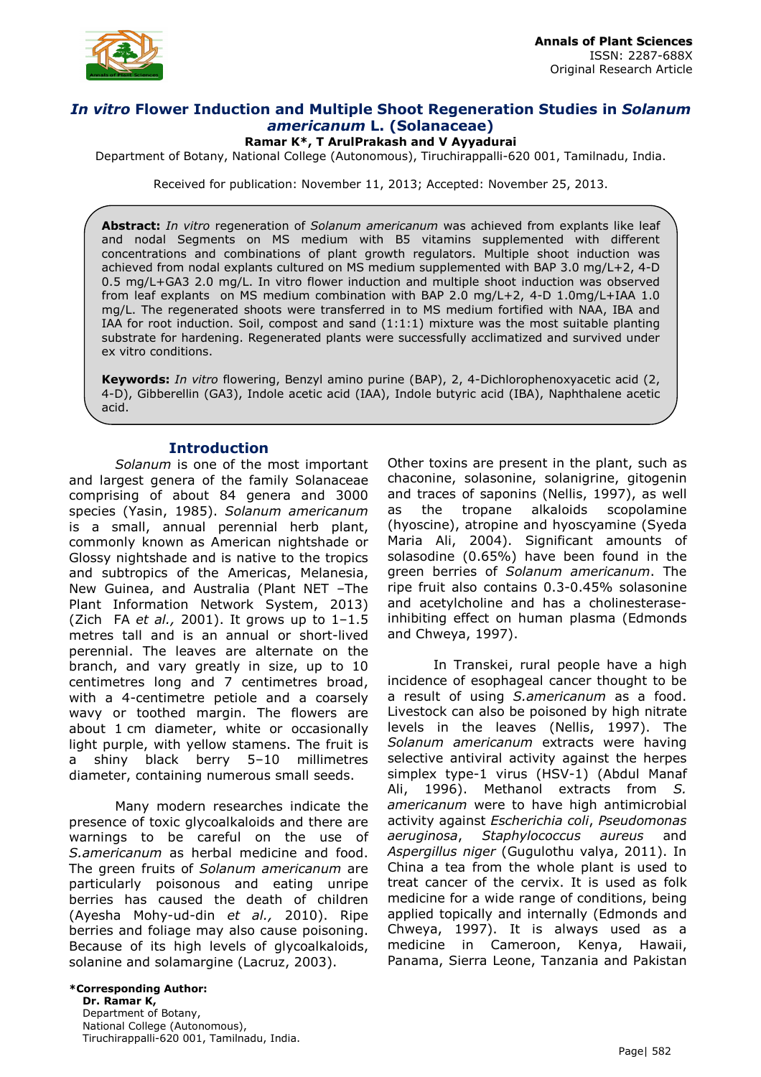

# *In vitro* **Flower Induction and Multiple Shoot Regeneration Studies in** *Solanum americanum* **L. (Solanaceae)**

### **Ramar K\*, T ArulPrakash and V Ayyadurai**

Department of Botany, National College (Autonomous), Tiruchirappalli-620 001, Tamilnadu, India.

Received for publication: November 11, 2013; Accepted: November 25, 2013.

**Abstract:** *In vitro* regeneration of *Solanum americanum* was achieved from explants like leaf and nodal Segments on MS medium with B5 vitamins supplemented with different concentrations and combinations of plant growth regulators. Multiple shoot induction was achieved from nodal explants cultured on MS medium supplemented with BAP 3.0 mg/L+2, 4-D 0.5 mg/L+GA3 2.0 mg/L. In vitro flower induction and multiple shoot induction was observed from leaf explants on MS medium combination with BAP 2.0 mg/L+2, 4-D 1.0mg/L+IAA 1.0 mg/L. The regenerated shoots were transferred in to MS medium fortified with NAA, IBA and IAA for root induction. Soil, compost and sand (1:1:1) mixture was the most suitable planting substrate for hardening. Regenerated plants were successfully acclimatized and survived under ex vitro conditions.

**Keywords:** *In vitro* flowering, Benzyl amino purine (BAP), 2, 4-Dichlorophenoxyacetic acid (2, 4-D), Gibberellin (GA3), Indole acetic acid (IAA), Indole butyric acid (IBA), Naphthalene acetic acid.

## **Introduction**

*Solanum* is one of the most important and largest genera of the family Solanaceae comprising of about 84 genera and 3000 species (Yasin, 1985). *Solanum americanum*  is a small, annual perennial herb plant, commonly known as American nightshade or Glossy nightshade and is native to the tropics and subtropics of the Americas, Melanesia, New Guinea, and Australia (Plant NET *–*The Plant Information Network System, 2013) (Zich FA *et al.,* 2001). It grows up to 1–1.5 metres tall and is an annual or short-lived perennial. The leaves are alternate on the branch, and vary greatly in size, up to 10 centimetres long and 7 centimetres broad, with a 4-centimetre petiole and a coarsely wavy or toothed margin. The flowers are about 1 cm diameter, white or occasionally light purple, with yellow stamens. The fruit is a shiny black berry 5–10 millimetres diameter, containing numerous small seeds.

Many modern researches indicate the presence of toxic glycoalkaloids and there are warnings to be careful on the use of *S.americanum* as herbal medicine and food. The green fruits of *Solanum americanum* are particularly poisonous and eating unripe berries has caused the death of children (Ayesha Mohy-ud-din *et al.,* 2010). Ripe berries and foliage may also cause poisoning. Because of its high levels of glycoalkaloids, solanine and solamargine (Lacruz, 2003).

Other toxins are present in the plant, such as chaconine, solasonine, solanigrine, gitogenin and traces of saponins (Nellis, 1997), as well as the tropane alkaloids scopolamine (hyoscine), atropine and hyoscyamine (Syeda Maria Ali, 2004). Significant amounts of solasodine (0.65%) have been found in the green berries of *Solanum americanum*. The ripe fruit also contains 0.3-0.45% solasonine and acetylcholine and has a cholinesteraseinhibiting effect on human plasma (Edmonds and Chweya, 1997).

In Transkei, rural people have a high incidence of esophageal cancer thought to be a result of using *S.americanum* as a food. Livestock can also be poisoned by high nitrate levels in the leaves (Nellis, 1997). The *Solanum americanum* extracts were having selective antiviral activity against the herpes simplex type-1 virus (HSV-1) (Abdul Manaf Ali, 1996). Methanol extracts from *S. americanum* were to have high antimicrobial activity against *Escherichia coli*, *Pseudomonas aeruginosa*, *Staphylococcus aureus* and *Aspergillus niger* (Gugulothu valya, 2011). In China a tea from the whole plant is used to treat cancer of the cervix. It is used as folk medicine for a wide range of conditions, being applied topically and internally (Edmonds and Chweya, 1997). It is always used as a medicine in Cameroon, Kenya, Hawaii, Panama, Sierra Leone, Tanzania and Pakistan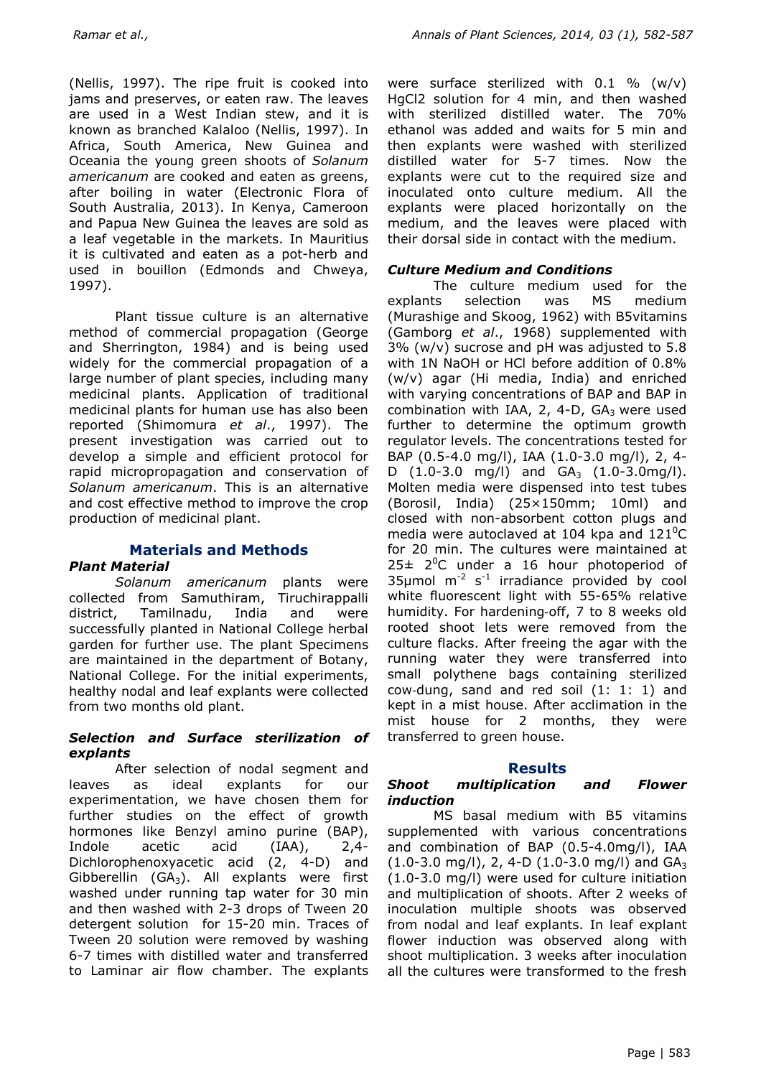(Nellis, 1997). The ripe fruit is cooked into jams and preserves, or eaten raw. The leaves are used in a West Indian stew, and it is known as branched Kalaloo (Nellis, 1997). In Africa, South America, New Guinea and Oceania the young green shoots of *Solanum americanum* are cooked and eaten as greens, after boiling in water (Electronic Flora of South Australia, 2013). In Kenya, Cameroon and Papua New Guinea the leaves are sold as a leaf vegetable in the markets. In Mauritius it is cultivated and eaten as a pot-herb and used in bouillon (Edmonds and Chweya, 1997).

Plant tissue culture is an alternative method of commercial propagation (George and Sherrington, 1984) and is being used widely for the commercial propagation of a large number of plant species, including many medicinal plants. Application of traditional medicinal plants for human use has also been reported (Shimomura *et al*., 1997). The present investigation was carried out to develop a simple and efficient protocol for rapid micropropagation and conservation of *Solanum americanum*. This is an alternative and cost effective method to improve the crop production of medicinal plant.

## **Materials and Methods**

### *Plant Material*

*Solanum americanum* plants were collected from Samuthiram, Tiruchirappalli district, Tamilnadu, India and were successfully planted in National College herbal garden for further use. The plant Specimens are maintained in the department of Botany, National College. For the initial experiments, healthy nodal and leaf explants were collected from two months old plant.

#### *Selection and Surface sterilization of explants*

After selection of nodal segment and leaves as ideal explants for our experimentation, we have chosen them for further studies on the effect of growth hormones like Benzyl amino purine (BAP), Indole acetic acid (IAA), 2,4- Dichlorophenoxyacetic acid (2, 4-D) and Gibberellin (GA<sub>3</sub>). All explants were first washed under running tap water for 30 min and then washed with 2-3 drops of Tween 20 detergent solution for 15-20 min. Traces of Tween 20 solution were removed by washing 6-7 times with distilled water and transferred to Laminar air flow chamber. The explants were surface sterilized with  $0.1 \%$  (w/v) HgCl2 solution for 4 min, and then washed with sterilized distilled water. The 70% ethanol was added and waits for 5 min and then explants were washed with sterilized distilled water for 5-7 times. Now the explants were cut to the required size and inoculated onto culture medium. All the explants were placed horizontally on the medium, and the leaves were placed with their dorsal side in contact with the medium.

# *Culture Medium and Conditions*

The culture medium used for the explants selection was MS medium (Murashige and Skoog, 1962) with B5vitamins (Gamborg *et al*., 1968) supplemented with 3% (w/v) sucrose and pH was adjusted to 5.8 with 1N NaOH or HCl before addition of 0.8% (w/v) agar (Hi media, India) and enriched with varying concentrations of BAP and BAP in combination with IAA,  $2$ , 4-D,  $GA_3$  were used further to determine the optimum growth regulator levels. The concentrations tested for BAP (0.5-4.0 mg/l), IAA (1.0-3.0 mg/l), 2, 4- D  $(1.0-3.0 \text{ mg/l})$  and  $GA_3$   $(1.0-3.0 \text{ mg/l})$ . Molten media were dispensed into test tubes (Borosil, India) (25×150mm; 10ml) and closed with non-absorbent cotton plugs and media were autoclaved at 104 kpa and  $121^{\circ}$ C for 20 min. The cultures were maintained at  $25\pm 2^0$ C under a 16 hour photoperiod of 35µmol  $m^{-2}$  s<sup>-1</sup> irradiance provided by cool white fluorescent light with 55-65% relative humidity. For hardening‐off, 7 to 8 weeks old rooted shoot lets were removed from the culture flacks. After freeing the agar with the running water they were transferred into small polythene bags containing sterilized cow‐dung, sand and red soil (1: 1: 1) and kept in a mist house. After acclimation in the mist house for 2 months, they were transferred to green house.

# **Results**

### *Shoot multiplication and Flower induction*

MS basal medium with B5 vitamins supplemented with various concentrations and combination of BAP (0.5-4.0mg/l), IAA  $(1.0-3.0 \text{ mg/l})$ , 2, 4-D  $(1.0-3.0 \text{ mg/l})$  and  $GA_3$ (1.0-3.0 mg/l) were used for culture initiation and multiplication of shoots. After 2 weeks of inoculation multiple shoots was observed from nodal and leaf explants. In leaf explant flower induction was observed along with shoot multiplication. 3 weeks after inoculation all the cultures were transformed to the fresh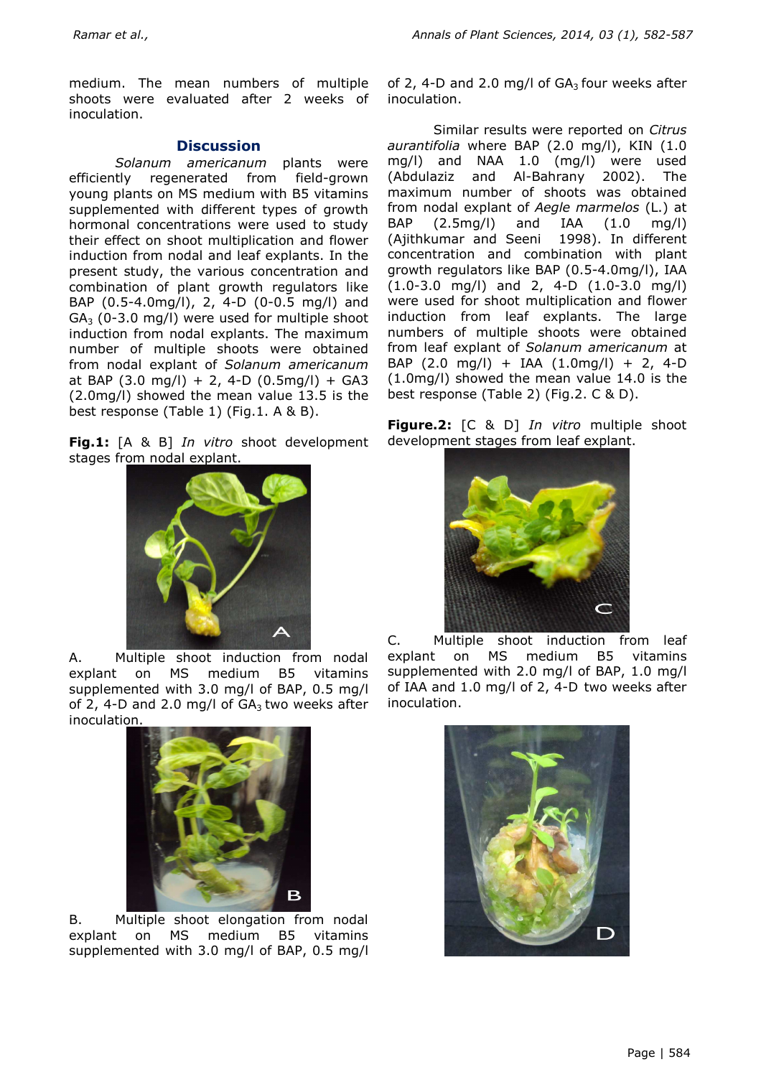medium. The mean numbers of multiple shoots were evaluated after 2 weeks of inoculation.

### **Discussion**

*Solanum americanum* plants were efficiently regenerated from field-grown young plants on MS medium with B5 vitamins supplemented with different types of growth hormonal concentrations were used to study their effect on shoot multiplication and flower induction from nodal and leaf explants. In the present study, the various concentration and combination of plant growth regulators like BAP (0.5-4.0mg/l), 2, 4-D (0-0.5 mg/l) and  $GA<sub>3</sub>$  (0-3.0 mg/l) were used for multiple shoot induction from nodal explants. The maximum number of multiple shoots were obtained from nodal explant of *Solanum americanum* at BAP  $(3.0 \text{ mg/l}) + 2$ , 4-D  $(0.5 \text{ mg/l}) + G$ A3 (2.0mg/l) showed the mean value 13.5 is the best response (Table 1) (Fig.1. A & B).

**Fig.1:** [A & B] *In vitro* shoot development stages from nodal explant.



A. Multiple shoot induction from nodal explant on MS medium B5 vitamins supplemented with 3.0 mg/l of BAP, 0.5 mg/l of 2, 4-D and 2.0 mg/l of  $GA_3$  two weeks after inoculation.



B. Multiple shoot elongation from nodal explant on MS medium B5 vitamins supplemented with 3.0 mg/l of BAP, 0.5 mg/l of 2, 4-D and 2.0 mg/l of  $GA<sub>3</sub>$  four weeks after inoculation.

Similar results were reported on *Citrus aurantifolia* where BAP (2.0 mg/l), KIN (1.0 mg/l) and NAA 1.0 (mg/l) were used (Abdulaziz and Al-Bahrany 2002). The maximum number of shoots was obtained from nodal explant of *Aegle marmelos* (L.) at BAP (2.5mg/l) and IAA (1.0 mg/l) (Ajithkumar and Seeni 1998). In different concentration and combination with plant growth regulators like BAP (0.5-4.0mg/l), IAA (1.0-3.0 mg/l) and 2, 4-D (1.0-3.0 mg/l) were used for shoot multiplication and flower induction from leaf explants. The large numbers of multiple shoots were obtained from leaf explant of *Solanum americanum* at BAP (2.0 mg/l) + IAA (1.0mg/l) + 2, 4-D (1.0mg/l) showed the mean value 14.0 is the best response (Table 2) (Fig.2. C & D).

**Figure.2:** [C & D] *In vitro* multiple shoot development stages from leaf explant.



C. Multiple shoot induction from leaf explant on MS medium B5 vitamins supplemented with 2.0 mg/l of BAP, 1.0 mg/l of IAA and 1.0 mg/l of 2, 4-D two weeks after inoculation.

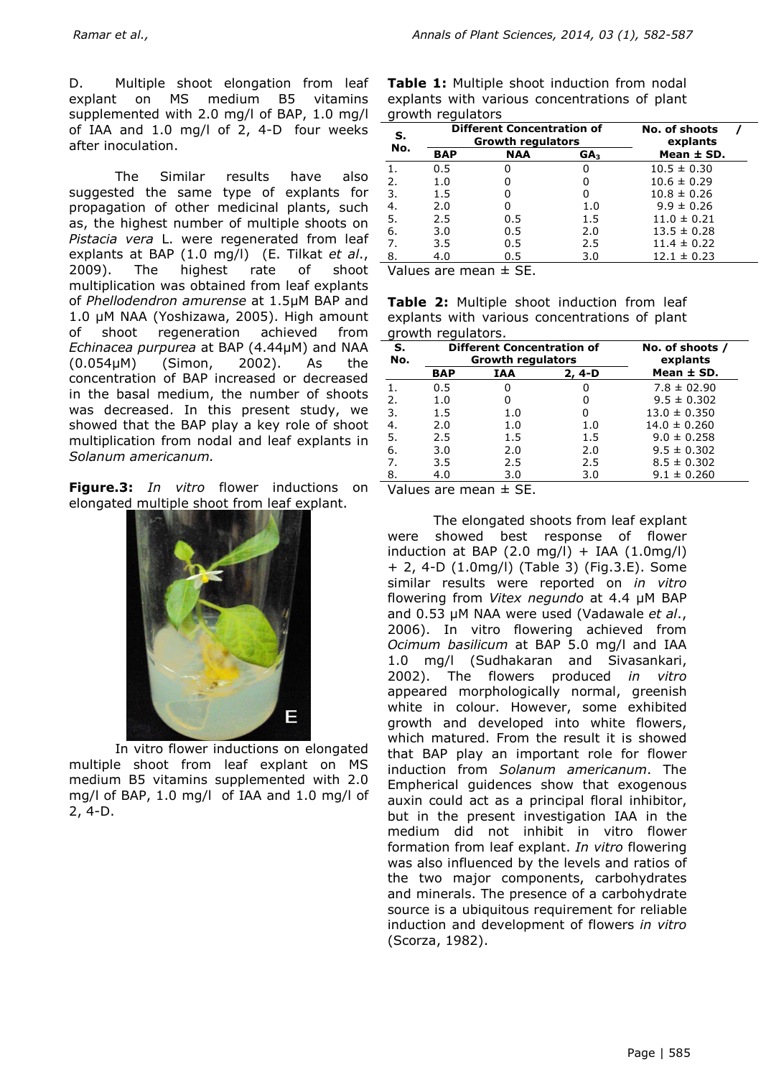D. Multiple shoot elongation from leaf explant on MS medium B5 vitamins supplemented with 2.0 mg/l of BAP, 1.0 mg/l of IAA and 1.0 mg/l of 2, 4-D four weeks after inoculation.

The Similar results have also suggested the same type of explants for propagation of other medicinal plants, such as, the highest number of multiple shoots on *Pistacia vera* L. were regenerated from leaf explants at BAP (1.0 mg/l) (E. Tilkat *et al*., 2009). The highest rate of shoot multiplication was obtained from leaf explants of *Phellodendron amurense* at 1.5µM BAP and 1.0 µM NAA (Yoshizawa, 2005). High amount of shoot regeneration achieved from *Echinacea purpurea* at BAP (4.44µM) and NAA (0.054µM) (Simon, 2002). As the concentration of BAP increased or decreased in the basal medium, the number of shoots was decreased. In this present study, we showed that the BAP play a key role of shoot multiplication from nodal and leaf explants in *Solanum americanum.* 

**Figure.3:** *In vitro* flower inductions on Values are mean ± SE. elongated multiple shoot from leaf explant.



In vitro flower inductions on elongated multiple shoot from leaf explant on MS medium B5 vitamins supplemented with 2.0 mg/l of BAP, 1.0 mg/l of IAA and 1.0 mg/l of 2, 4-D.

**Table 1:** Multiple shoot induction from nodal explants with various concentrations of plant growth regulators

| s.<br>No. |            | <b>Different Concentration of</b><br><b>Growth regulators</b> | No. of shoots<br>explants |                 |
|-----------|------------|---------------------------------------------------------------|---------------------------|-----------------|
|           | <b>BAP</b> | <b>NAA</b>                                                    | GA <sub>3</sub>           | Mean $\pm$ SD.  |
|           | 0.5        | O                                                             | O                         | $10.5 \pm 0.30$ |
| 2.        | 1.0        | O                                                             | 0                         | $10.6 \pm 0.29$ |
| 3.        | 1.5        | O                                                             | 0                         | $10.8 \pm 0.26$ |
| 4.        | 2.0        | O                                                             | 1.0                       | $9.9 \pm 0.26$  |
| -5.       | 2.5        | 0.5                                                           | 1.5                       | $11.0 \pm 0.21$ |
| 6.        | 3.0        | 0.5                                                           | 2.0                       | $13.5 \pm 0.28$ |
| 7.        | 3.5        | 0.5                                                           | 2.5                       | $11.4 \pm 0.22$ |
| 8.        | 4.0        | 0.5                                                           | 3.0                       | $12.1 \pm 0.23$ |

Values are mean ± SE.

**Table 2:** Multiple shoot induction from leaf explants with various concentrations of plant growth regulators.

| s.<br>No. |            | <b>Different Concentration of</b><br><b>Growth regulators</b> | No. of shoots /<br>explants |                  |
|-----------|------------|---------------------------------------------------------------|-----------------------------|------------------|
|           | <b>BAP</b> | IAA                                                           | 2, 4-D                      | Mean $\pm$ SD.   |
|           | 0.5        | O                                                             | 0                           | $7.8 \pm 02.90$  |
| 2.        | 1.0        | 0                                                             | 0                           | $9.5 \pm 0.302$  |
| -3.       | 1.5        | 1.0                                                           | 0                           | $13.0 \pm 0.350$ |
| 4.        | 2.0        | 1.0                                                           | 1.0                         | $14.0 \pm 0.260$ |
| -5.       | 2.5        | 1.5                                                           | 1.5                         | $9.0 \pm 0.258$  |
| 6.        | 3.0        | 2.0                                                           | 2.0                         | $9.5 \pm 0.302$  |
| 7.        | 3.5        | 2.5                                                           | 2.5                         | $8.5 \pm 0.302$  |
| 8.        | 4.0        | 3.0                                                           | 3.0                         | $9.1 \pm 0.260$  |

The elongated shoots from leaf explant were showed best response of flower induction at BAP  $(2.0 \text{ mg/l}) + IAA (1.0 \text{ mg/l})$ + 2, 4-D (1.0mg/l) (Table 3) (Fig.3.E). Some similar results were reported on *in vitro* flowering from *Vitex negundo* at 4.4 µM BAP and 0.53 µM NAA were used (Vadawale *et al*., 2006). In vitro flowering achieved from *Ocimum basilicum* at BAP 5.0 mg/l and IAA 1.0 mg/l (Sudhakaran and Sivasankari, 2002). The flowers produced *in vitro* appeared morphologically normal, greenish white in colour. However, some exhibited growth and developed into white flowers, which matured. From the result it is showed that BAP play an important role for flower induction from *Solanum americanum*. The Empherical guidences show that exogenous auxin could act as a principal floral inhibitor, but in the present investigation IAA in the medium did not inhibit in vitro flower formation from leaf explant. *In vitro* flowering was also influenced by the levels and ratios of the two major components, carbohydrates and minerals. The presence of a carbohydrate source is a ubiquitous requirement for reliable induction and development of flowers *in vitro* (Scorza, 1982).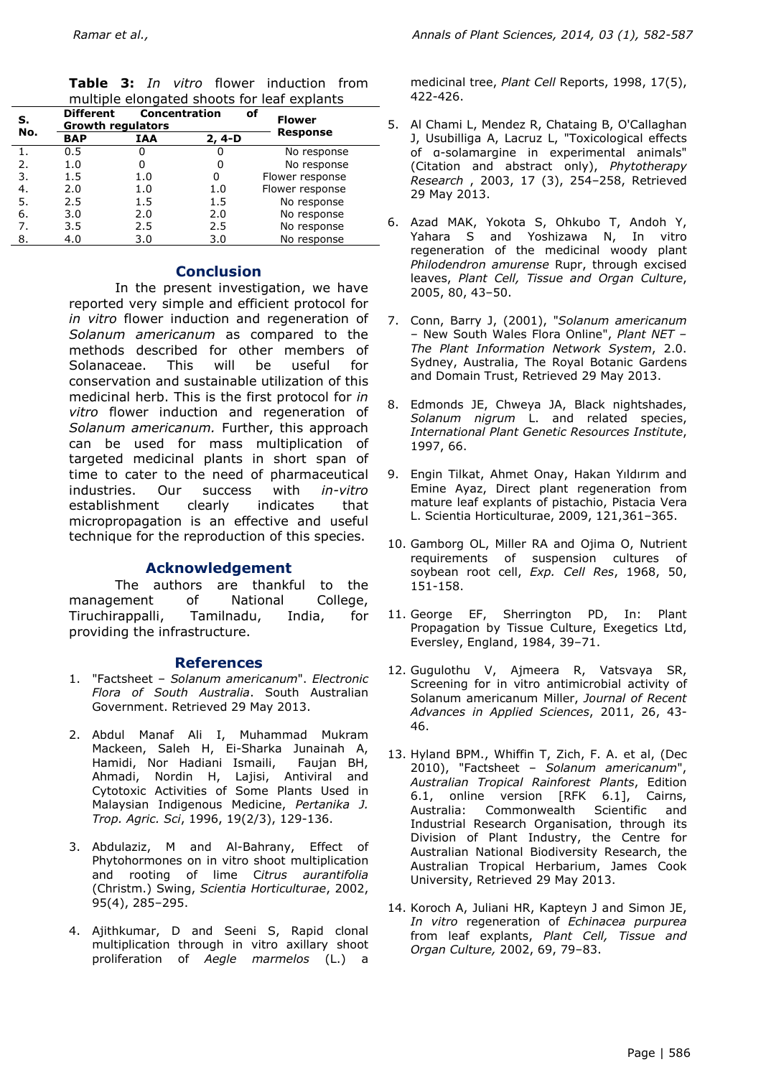|  |  | Table 3: In vitro flower induction from     |  |
|--|--|---------------------------------------------|--|
|  |  | multiple elongated shoots for leaf explants |  |

| S.<br>No. | <b>Different</b><br><b>Growth regulators</b> |            | <b>Concentration</b> | of<br><b>Flower</b> |
|-----------|----------------------------------------------|------------|----------------------|---------------------|
|           | <b>BAP</b>                                   | <b>IAA</b> | 2, 4-D               | <b>Response</b>     |
|           | 0.5                                          | 0          | 0                    | No response         |
| 2.        | 1.0                                          | 0          | 0                    | No response         |
| 3.        | 1.5                                          | 1.0        |                      | Flower response     |
| 4.        | 2.0                                          | 1.0        | 1.0                  | Flower response     |
| 5.        | 2.5                                          | 1.5        | 1.5                  | No response         |
| 6.        | 3.0                                          | 2.0        | 2.0                  | No response         |
| 7.        | 3.5                                          | 2.5        | 2.5                  | No response         |
| 8.        | 4.0                                          | 3.0        | 3.0                  | No response         |

#### **Conclusion**

In the present investigation, we have reported very simple and efficient protocol for *in vitro* flower induction and regeneration of *Solanum americanum* as compared to the methods described for other members of Solanaceae. This will be useful for conservation and sustainable utilization of this medicinal herb. This is the first protocol for *in vitro* flower induction and regeneration of *Solanum americanum.* Further, this approach can be used for mass multiplication of targeted medicinal plants in short span of time to cater to the need of pharmaceutical industries. Our success with *in-vitro* establishment clearly indicates that micropropagation is an effective and useful technique for the reproduction of this species.

### **Acknowledgement**

The authors are thankful to the management of National College, Tiruchirappalli, Tamilnadu, India, for providing the infrastructure.

### **References**

- 1. "Factsheet *Solanum americanum*". *Electronic Flora of South Australia*. South Australian Government. Retrieved 29 May 2013.
- 2. Abdul Manaf Ali I, Muhammad Mukram Mackeen, Saleh H, Ei-Sharka Junainah A, Hamidi, Nor Hadiani Ismaili, Faujan BH, Ahmadi, Nordin H, Lajisi, Antiviral and Cytotoxic Activities of Some Plants Used in Malaysian Indigenous Medicine, *Pertanika J. Trop. Agric. Sci*, 1996, 19(2/3), 129-136.
- 3. Abdulaziz, M and Al-Bahrany, Effect of Phytohormones on in vitro shoot multiplication and rooting of lime C*itrus aurantifolia* (Christm.) Swing, *Scientia Horticulturae*, 2002, 95(4), 285–295.
- 4. Ajithkumar, D and Seeni S, Rapid clonal multiplication through in vitro axillary shoot proliferation of *Aegle marmelos* (L.) a

medicinal tree, *Plant Cell* Reports, 1998, 17(5), 422-426.

- 5. Al Chami L, Mendez R, Chataing B, O'Callaghan J, Usubilliga A, Lacruz L, "Toxicological effects of α-solamargine in experimental animals" (Citation and abstract only), *Phytotherapy Research* , 2003, 17 (3), 254–258, Retrieved 29 May 2013.
- 6. Azad MAK, Yokota S, Ohkubo T, Andoh Y, Yahara S and Yoshizawa N, In vitro regeneration of the medicinal woody plant *Philodendron amurense* Rupr, through excised leaves, *Plant Cell, Tissue and Organ Culture*, 2005, 80, 43–50.
- 7. Conn, Barry J, (2001), "*Solanum americanum* – New South Wales Flora Online", *Plant NET – The Plant Information Network System*, 2.0. Sydney, Australia, The Royal Botanic Gardens and Domain Trust, Retrieved 29 May 2013.
- 8. Edmonds JE, Chweya JA, Black nightshades, *Solanum nigrum* L. and related species, *International Plant Genetic Resources Institute*, 1997, 66.
- 9. Engin Tilkat, Ahmet Onay, Hakan Yıldırım and Emine Ayaz, Direct plant regeneration from mature leaf explants of pistachio, Pistacia Vera L. Scientia Horticulturae, 2009, 121,361–365.
- 10. Gamborg OL, Miller RA and Ojima O, Nutrient requirements of suspension cultures of soybean root cell, *Exp. Cell Res*, 1968, 50, 151-158.
- 11. George EF, Sherrington PD, In: Plant Propagation by Tissue Culture, Exegetics Ltd, Eversley, England, 1984, 39–71.
- 12. Gugulothu V, Ajmeera R, Vatsvaya SR, Screening for in vitro antimicrobial activity of Solanum americanum Miller, *Journal of Recent Advances in Applied Sciences*, 2011, 26, 43- 46.
- 13. Hyland BPM., Whiffin T, Zich, F. A. et al, (Dec 2010), "Factsheet – *Solanum americanum*", *Australian Tropical Rainforest Plants*, Edition 6.1, online version [RFK 6.1], Cairns, Australia: Commonwealth Scientific and Industrial Research Organisation, through its Division of Plant Industry, the Centre for Australian National Biodiversity Research, the Australian Tropical Herbarium, James Cook University, Retrieved 29 May 2013.
- 14. Koroch A, Juliani HR, Kapteyn J and Simon JE, *In vitro* regeneration of *Echinacea purpurea*  from leaf explants, *Plant Cell, Tissue and Organ Culture,* 2002, 69, 79–83.